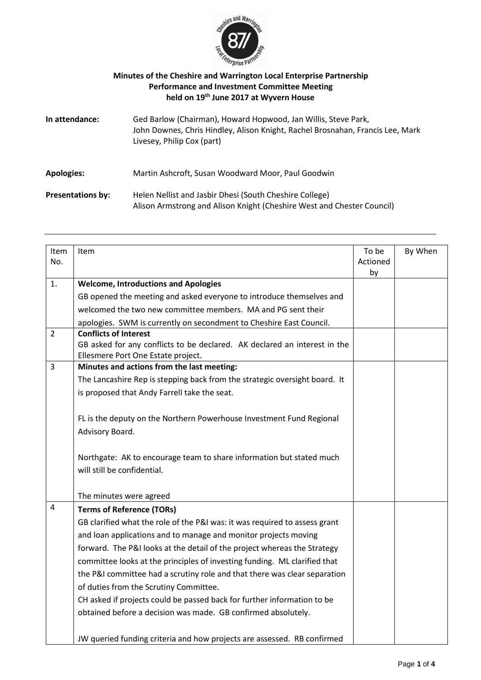

## **Minutes of the Cheshire and Warrington Local Enterprise Partnership Performance and Investment Committee Meeting held on 19th June 2017 at Wyvern House**

| In attendance:           | Ged Barlow (Chairman), Howard Hopwood, Jan Willis, Steve Park,<br>John Downes, Chris Hindley, Alison Knight, Rachel Brosnahan, Francis Lee, Mark<br>Livesey, Philip Cox (part) |
|--------------------------|--------------------------------------------------------------------------------------------------------------------------------------------------------------------------------|
| <b>Apologies:</b>        | Martin Ashcroft, Susan Woodward Moor, Paul Goodwin                                                                                                                             |
| <b>Presentations by:</b> | Helen Nellist and Jasbir Dhesi (South Cheshire College)<br>Alison Armstrong and Alison Knight (Cheshire West and Chester Council)                                              |

| Item<br>No.    | Item                                                                                                                                            | To be<br>Actioned<br>by | By When |
|----------------|-------------------------------------------------------------------------------------------------------------------------------------------------|-------------------------|---------|
| 1.             | <b>Welcome, Introductions and Apologies</b>                                                                                                     |                         |         |
|                | GB opened the meeting and asked everyone to introduce themselves and                                                                            |                         |         |
|                | welcomed the two new committee members. MA and PG sent their                                                                                    |                         |         |
|                | apologies. SWM is currently on secondment to Cheshire East Council.                                                                             |                         |         |
| $\overline{2}$ | <b>Conflicts of Interest</b><br>GB asked for any conflicts to be declared. AK declared an interest in the<br>Ellesmere Port One Estate project. |                         |         |
| 3              | Minutes and actions from the last meeting:                                                                                                      |                         |         |
|                | The Lancashire Rep is stepping back from the strategic oversight board. It                                                                      |                         |         |
|                | is proposed that Andy Farrell take the seat.                                                                                                    |                         |         |
|                |                                                                                                                                                 |                         |         |
|                | FL is the deputy on the Northern Powerhouse Investment Fund Regional                                                                            |                         |         |
|                | Advisory Board.                                                                                                                                 |                         |         |
|                |                                                                                                                                                 |                         |         |
|                | Northgate: AK to encourage team to share information but stated much                                                                            |                         |         |
|                | will still be confidential.                                                                                                                     |                         |         |
|                |                                                                                                                                                 |                         |         |
|                | The minutes were agreed                                                                                                                         |                         |         |
| 4              | <b>Terms of Reference (TORs)</b>                                                                                                                |                         |         |
|                | GB clarified what the role of the P&I was: it was required to assess grant                                                                      |                         |         |
|                | and loan applications and to manage and monitor projects moving                                                                                 |                         |         |
|                | forward. The P&I looks at the detail of the project whereas the Strategy                                                                        |                         |         |
|                | committee looks at the principles of investing funding. ML clarified that                                                                       |                         |         |
|                | the P&I committee had a scrutiny role and that there was clear separation                                                                       |                         |         |
|                | of duties from the Scrutiny Committee.                                                                                                          |                         |         |
|                | CH asked if projects could be passed back for further information to be                                                                         |                         |         |
|                | obtained before a decision was made. GB confirmed absolutely.                                                                                   |                         |         |
|                |                                                                                                                                                 |                         |         |
|                | JW queried funding criteria and how projects are assessed. RB confirmed                                                                         |                         |         |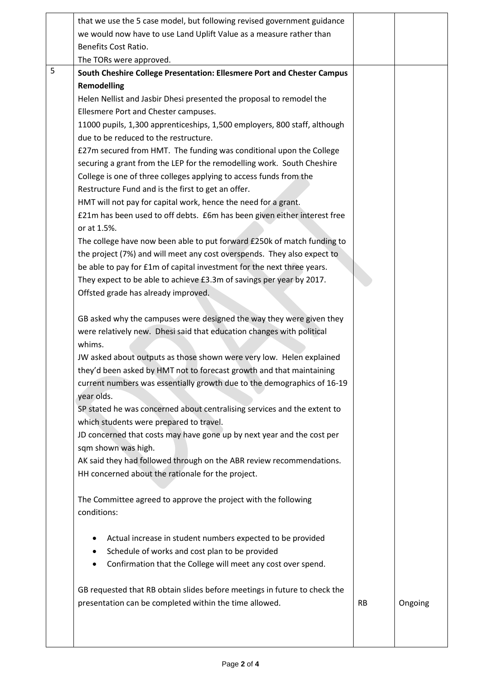|   | that we use the 5 case model, but following revised government guidance   |           |         |
|---|---------------------------------------------------------------------------|-----------|---------|
|   | we would now have to use Land Uplift Value as a measure rather than       |           |         |
|   | Benefits Cost Ratio.                                                      |           |         |
|   | The TORs were approved.                                                   |           |         |
| 5 | South Cheshire College Presentation: Ellesmere Port and Chester Campus    |           |         |
|   | <b>Remodelling</b>                                                        |           |         |
|   | Helen Nellist and Jasbir Dhesi presented the proposal to remodel the      |           |         |
|   | Ellesmere Port and Chester campuses.                                      |           |         |
|   | 11000 pupils, 1,300 apprenticeships, 1,500 employers, 800 staff, although |           |         |
|   | due to be reduced to the restructure.                                     |           |         |
|   | £27m secured from HMT. The funding was conditional upon the College       |           |         |
|   | securing a grant from the LEP for the remodelling work. South Cheshire    |           |         |
|   | College is one of three colleges applying to access funds from the        |           |         |
|   | Restructure Fund and is the first to get an offer.                        |           |         |
|   | HMT will not pay for capital work, hence the need for a grant.            |           |         |
|   | £21m has been used to off debts. £6m has been given either interest free  |           |         |
|   | or at 1.5%.                                                               |           |         |
|   | The college have now been able to put forward £250k of match funding to   |           |         |
|   | the project (7%) and will meet any cost overspends. They also expect to   |           |         |
|   | be able to pay for £1m of capital investment for the next three years.    |           |         |
|   | They expect to be able to achieve £3.3m of savings per year by 2017.      |           |         |
|   | Offsted grade has already improved.                                       |           |         |
|   |                                                                           |           |         |
|   | GB asked why the campuses were designed the way they were given they      |           |         |
|   | were relatively new. Dhesi said that education changes with political     |           |         |
|   | whims.                                                                    |           |         |
|   | JW asked about outputs as those shown were very low. Helen explained      |           |         |
|   | they'd been asked by HMT not to forecast growth and that maintaining      |           |         |
|   | current numbers was essentially growth due to the demographics of 16-19   |           |         |
|   | year olds.                                                                |           |         |
|   | SP stated he was concerned about centralising services and the extent to  |           |         |
|   | which students were prepared to travel.                                   |           |         |
|   | JD concerned that costs may have gone up by next year and the cost per    |           |         |
|   | sqm shown was high.                                                       |           |         |
|   | AK said they had followed through on the ABR review recommendations.      |           |         |
|   | HH concerned about the rationale for the project.                         |           |         |
|   |                                                                           |           |         |
|   | The Committee agreed to approve the project with the following            |           |         |
|   | conditions:                                                               |           |         |
|   |                                                                           |           |         |
|   | Actual increase in student numbers expected to be provided                |           |         |
|   | Schedule of works and cost plan to be provided<br>٠                       |           |         |
|   | Confirmation that the College will meet any cost over spend.              |           |         |
|   |                                                                           |           |         |
|   | GB requested that RB obtain slides before meetings in future to check the |           |         |
|   | presentation can be completed within the time allowed.                    | <b>RB</b> | Ongoing |
|   |                                                                           |           |         |
|   |                                                                           |           |         |
|   |                                                                           |           |         |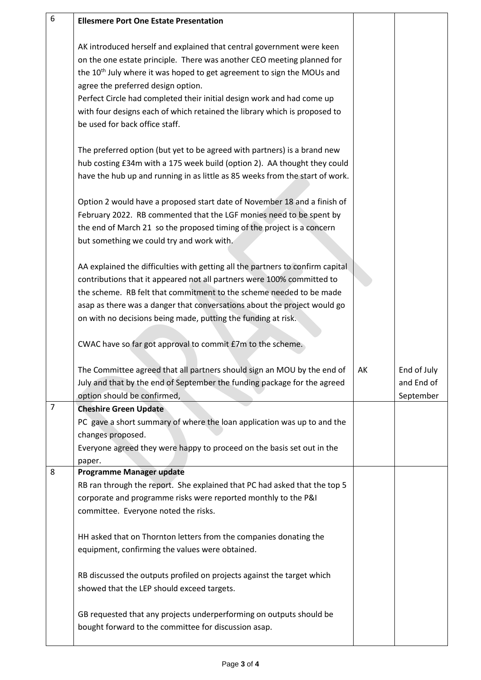| 6              | <b>Ellesmere Port One Estate Presentation</b>                                      |    |             |
|----------------|------------------------------------------------------------------------------------|----|-------------|
|                |                                                                                    |    |             |
|                |                                                                                    |    |             |
|                | AK introduced herself and explained that central government were keen              |    |             |
|                | on the one estate principle. There was another CEO meeting planned for             |    |             |
|                | the 10 <sup>th</sup> July where it was hoped to get agreement to sign the MOUs and |    |             |
|                | agree the preferred design option.                                                 |    |             |
|                | Perfect Circle had completed their initial design work and had come up             |    |             |
|                | with four designs each of which retained the library which is proposed to          |    |             |
|                | be used for back office staff.                                                     |    |             |
|                |                                                                                    |    |             |
|                | The preferred option (but yet to be agreed with partners) is a brand new           |    |             |
|                | hub costing £34m with a 175 week build (option 2). AA thought they could           |    |             |
|                | have the hub up and running in as little as 85 weeks from the start of work.       |    |             |
|                | Option 2 would have a proposed start date of November 18 and a finish of           |    |             |
|                | February 2022. RB commented that the LGF monies need to be spent by                |    |             |
|                | the end of March 21 so the proposed timing of the project is a concern             |    |             |
|                | but something we could try and work with.                                          |    |             |
|                |                                                                                    |    |             |
|                | AA explained the difficulties with getting all the partners to confirm capital     |    |             |
|                | contributions that it appeared not all partners were 100% committed to             |    |             |
|                | the scheme. RB felt that commitment to the scheme needed to be made                |    |             |
|                | asap as there was a danger that conversations about the project would go           |    |             |
|                | on with no decisions being made, putting the funding at risk.                      |    |             |
|                |                                                                                    |    |             |
|                | CWAC have so far got approval to commit £7m to the scheme.                         |    |             |
|                |                                                                                    |    |             |
|                | The Committee agreed that all partners should sign an MOU by the end of            | АΚ | End of July |
|                | July and that by the end of September the funding package for the agreed           |    | and End of  |
|                |                                                                                    |    |             |
| $\overline{7}$ | option should be confirmed,                                                        |    | September   |
|                | <b>Cheshire Green Update</b>                                                       |    |             |
|                | PC gave a short summary of where the loan application was up to and the            |    |             |
|                | changes proposed.                                                                  |    |             |
|                | Everyone agreed they were happy to proceed on the basis set out in the             |    |             |
|                | paper.                                                                             |    |             |
| 8              | <b>Programme Manager update</b>                                                    |    |             |
|                | RB ran through the report. She explained that PC had asked that the top 5          |    |             |
|                | corporate and programme risks were reported monthly to the P&I                     |    |             |
|                | committee. Everyone noted the risks.                                               |    |             |
|                | HH asked that on Thornton letters from the companies donating the                  |    |             |
|                | equipment, confirming the values were obtained.                                    |    |             |
|                |                                                                                    |    |             |
|                | RB discussed the outputs profiled on projects against the target which             |    |             |
|                | showed that the LEP should exceed targets.                                         |    |             |
|                |                                                                                    |    |             |
|                | GB requested that any projects underperforming on outputs should be                |    |             |
|                | bought forward to the committee for discussion asap.                               |    |             |
|                |                                                                                    |    |             |